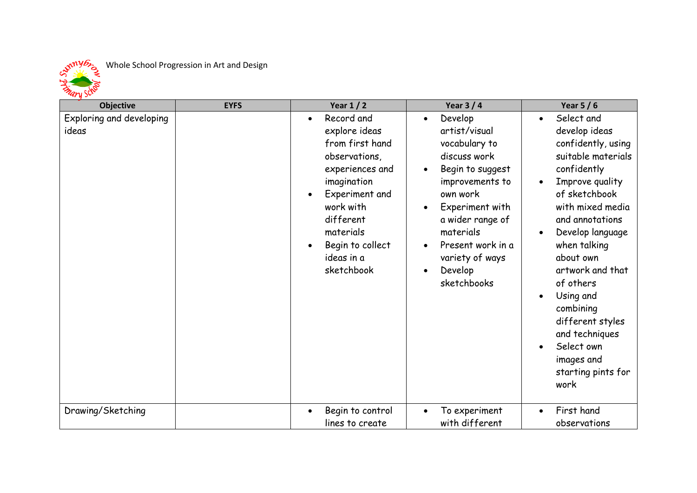

| - и -<br><b>Objective</b>         | <b>EYFS</b> | Year $1/2$                                                                                                                                                                                                 | Year $3/4$                                                                                                                                                                                                                                                                | Year $5/6$                                                                                                                                                                                                                                                                                                                                                                                                           |
|-----------------------------------|-------------|------------------------------------------------------------------------------------------------------------------------------------------------------------------------------------------------------------|---------------------------------------------------------------------------------------------------------------------------------------------------------------------------------------------------------------------------------------------------------------------------|----------------------------------------------------------------------------------------------------------------------------------------------------------------------------------------------------------------------------------------------------------------------------------------------------------------------------------------------------------------------------------------------------------------------|
| Exploring and developing<br>ideas |             | Record and<br>explore ideas<br>from first hand<br>observations,<br>experiences and<br>imagination<br>Experiment and<br>work with<br>different<br>materials<br>Begin to collect<br>ideas in a<br>sketchbook | Develop<br>$\bullet$<br>artist/visual<br>vocabulary to<br>discuss work<br>Begin to suggest<br>$\bullet$<br>improvements to<br>own work<br>Experiment with<br>a wider range of<br>materials<br>Present work in a<br>variety of ways<br>Develop<br>$\bullet$<br>sketchbooks | Select and<br>$\bullet$<br>develop ideas<br>confidently, using<br>suitable materials<br>confidently<br>Improve quality<br>$\bullet$<br>of sketchbook<br>with mixed media<br>and annotations<br>Develop language<br>when talking<br>about own<br>artwork and that<br>of others<br>Using and<br>$\bullet$<br>combining<br>different styles<br>and techniques<br>Select own<br>images and<br>starting pints for<br>work |
| Drawing/Sketching                 |             | Begin to control<br>lines to create                                                                                                                                                                        | To experiment<br>with different                                                                                                                                                                                                                                           | First hand<br>observations                                                                                                                                                                                                                                                                                                                                                                                           |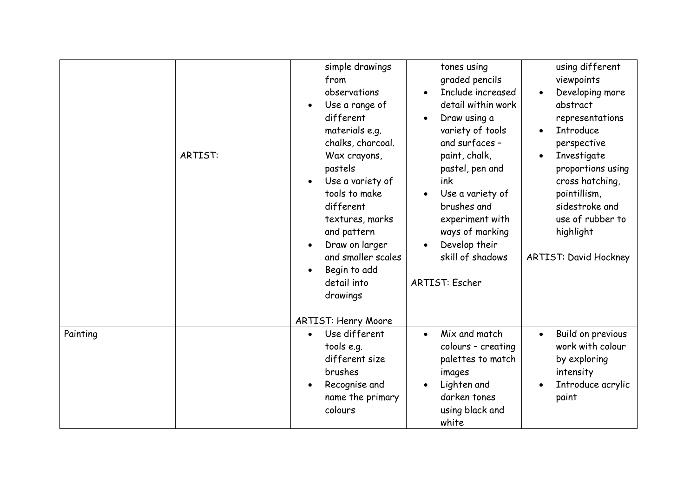|          | <b>ARTIST:</b> | simple drawings<br>from<br>observations<br>Use a range of<br>$\bullet$<br>different<br>materials e.g.<br>chalks, charcoal.<br>Wax crayons,<br>pastels<br>Use a variety of<br>tools to make<br>different<br>textures, marks<br>and pattern<br>Draw on larger<br>and smaller scales<br>Begin to add<br>detail into<br>drawings<br><b>ARTIST: Henry Moore</b> | tones using<br>graded pencils<br>Include increased<br>detail within work<br>Draw using a<br>$\bullet$<br>variety of tools<br>and surfaces -<br>paint, chalk,<br>pastel, pen and<br>ink<br>Use a variety of<br>$\bullet$<br>brushes and<br>experiment with<br>ways of marking<br>Develop their<br>skill of shadows<br><b>ARTIST: Escher</b> | using different<br>viewpoints<br>Developing more<br>abstract<br>representations<br><b>Introduce</b><br>perspective<br>Investigate<br>proportions using<br>cross hatching,<br>pointillism,<br>sidestroke and<br>use of rubber to<br>highlight<br><b>ARTIST: David Hockney</b> |
|----------|----------------|------------------------------------------------------------------------------------------------------------------------------------------------------------------------------------------------------------------------------------------------------------------------------------------------------------------------------------------------------------|--------------------------------------------------------------------------------------------------------------------------------------------------------------------------------------------------------------------------------------------------------------------------------------------------------------------------------------------|------------------------------------------------------------------------------------------------------------------------------------------------------------------------------------------------------------------------------------------------------------------------------|
|          |                |                                                                                                                                                                                                                                                                                                                                                            |                                                                                                                                                                                                                                                                                                                                            |                                                                                                                                                                                                                                                                              |
| Painting |                | Use different<br>$\bullet$<br>tools e.g.<br>different size<br>brushes<br>Recognise and<br>name the primary<br>colours                                                                                                                                                                                                                                      | Mix and match<br>$\bullet$<br>colours - creating<br>palettes to match<br>images<br>Lighten and<br>darken tones<br>using black and<br>white                                                                                                                                                                                                 | Build on previous<br>$\bullet$<br>work with colour<br>by exploring<br>intensity<br>Introduce acrylic<br>paint                                                                                                                                                                |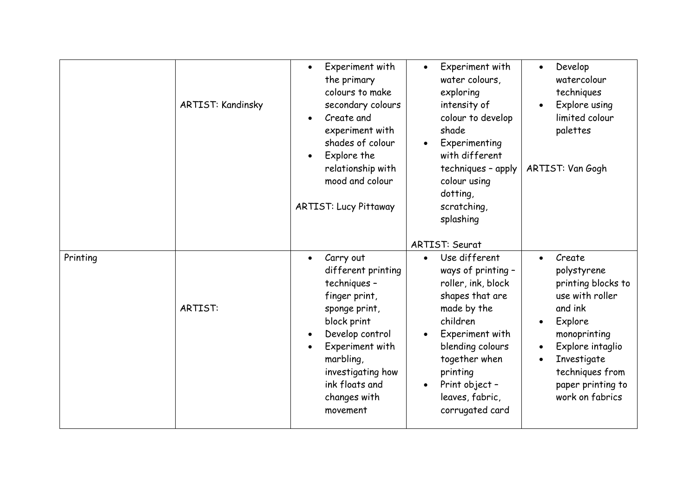|          | <b>ARTIST: Kandinsky</b> | Experiment with<br>$\bullet$<br>the primary<br>colours to make<br>secondary colours<br>Create and<br>experiment with<br>shades of colour<br>Explore the<br>$\bullet$<br>relationship with<br>mood and colour<br><b>ARTIST: Lucy Pittaway</b> | Experiment with<br>$\bullet$<br>water colours,<br>exploring<br>intensity of<br>colour to develop<br>shade<br>Experimenting<br>$\bullet$<br>with different<br>techniques - apply<br>colour using<br>dotting,<br>scratching,<br>splashing                       | Develop<br>$\bullet$<br>watercolour<br>techniques<br>Explore using<br>$\bullet$<br>limited colour<br>palettes<br>ARTIST: Van Gogh                                                                                            |
|----------|--------------------------|----------------------------------------------------------------------------------------------------------------------------------------------------------------------------------------------------------------------------------------------|---------------------------------------------------------------------------------------------------------------------------------------------------------------------------------------------------------------------------------------------------------------|------------------------------------------------------------------------------------------------------------------------------------------------------------------------------------------------------------------------------|
|          |                          |                                                                                                                                                                                                                                              | <b>ARTIST: Seurat</b>                                                                                                                                                                                                                                         |                                                                                                                                                                                                                              |
| Printing | <b>ARTIST:</b>           | Carry out<br>$\bullet$<br>different printing<br>techniques -<br>finger print,<br>sponge print,<br>block print<br>Develop control<br>Experiment with<br>marbling,<br>investigating how<br>ink floats and<br>changes with<br>movement          | Use different<br>$\bullet$<br>ways of printing -<br>roller, ink, block<br>shapes that are<br>made by the<br>children<br>Experiment with<br>blending colours<br>together when<br>printing<br>Print object -<br>$\bullet$<br>leaves, fabric,<br>corrugated card | Create<br>$\bullet$<br>polystyrene<br>printing blocks to<br>use with roller<br>and ink<br>Explore<br>$\bullet$<br>monoprinting<br>Explore intaglio<br>Investigate<br>techniques from<br>paper printing to<br>work on fabrics |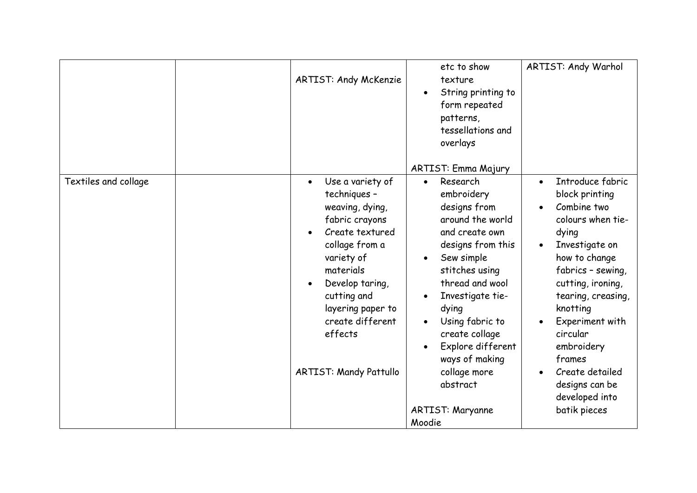|                      | <b>ARTIST: Andy McKenzie</b>                                                                                                                                                                                                                                                           | etc to show<br>texture<br>String printing to<br>form repeated<br>patterns,<br>tessellations and<br>overlays<br>ARTIST: Emma Majury                                                                                                                                                                                                          | <b>ARTIST: Andy Warhol</b>                                                                                                                                                                                                                                                                                                                |
|----------------------|----------------------------------------------------------------------------------------------------------------------------------------------------------------------------------------------------------------------------------------------------------------------------------------|---------------------------------------------------------------------------------------------------------------------------------------------------------------------------------------------------------------------------------------------------------------------------------------------------------------------------------------------|-------------------------------------------------------------------------------------------------------------------------------------------------------------------------------------------------------------------------------------------------------------------------------------------------------------------------------------------|
| Textiles and collage | Use a variety of<br>$\bullet$<br>techniques -<br>weaving, dying,<br>fabric crayons<br>Create textured<br>collage from a<br>variety of<br>materials<br>Develop taring,<br>$\bullet$<br>cutting and<br>layering paper to<br>create different<br>effects<br><b>ARTIST: Mandy Pattullo</b> | Research<br>$\bullet$<br>embroidery<br>designs from<br>around the world<br>and create own<br>designs from this<br>Sew simple<br>stitches using<br>thread and wool<br>Investigate tie-<br>dying<br>Using fabric to<br>create collage<br>Explore different<br>ways of making<br>collage more<br>abstract<br><b>ARTIST: Maryanne</b><br>Moodie | Introduce fabric<br>$\bullet$<br>block printing<br>Combine two<br>colours when tie-<br>dying<br>Investigate on<br>how to change<br>fabrics - sewing,<br>cutting, ironing,<br>tearing, creasing,<br>knotting<br>Experiment with<br>circular<br>embroidery<br>frames<br>Create detailed<br>designs can be<br>developed into<br>batik pieces |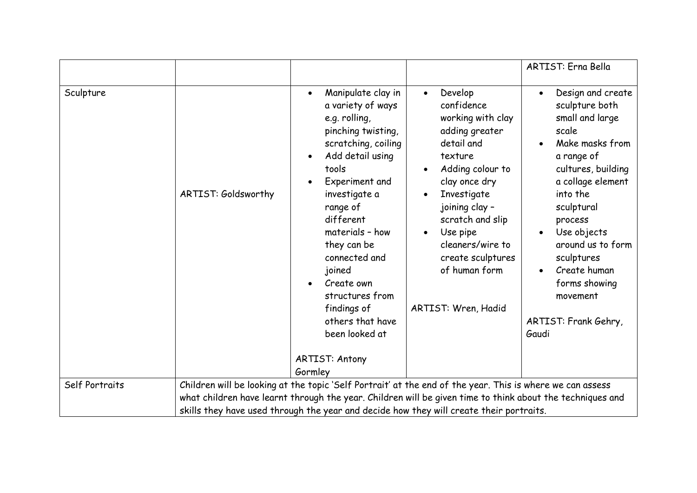|                |                     |                                                                                                                                                                                                                                                                                                                                                                                                                              |                                                                                                                                                                                                                                                                                                                     | <b>ARTIST: Erna Bella</b>                                                                                                                                                                                                                                                                                                                  |
|----------------|---------------------|------------------------------------------------------------------------------------------------------------------------------------------------------------------------------------------------------------------------------------------------------------------------------------------------------------------------------------------------------------------------------------------------------------------------------|---------------------------------------------------------------------------------------------------------------------------------------------------------------------------------------------------------------------------------------------------------------------------------------------------------------------|--------------------------------------------------------------------------------------------------------------------------------------------------------------------------------------------------------------------------------------------------------------------------------------------------------------------------------------------|
| Sculpture      | ARTIST: Goldsworthy | Manipulate clay in<br>$\bullet$<br>a variety of ways<br>e.g. rolling,<br>pinching twisting,<br>scratching, coiling<br>Add detail using<br>$\bullet$<br>tools<br>Experiment and<br>$\bullet$<br>investigate a<br>range of<br>different<br>materials - how<br>they can be<br>connected and<br>joined<br>Create own<br>structures from<br>findings of<br>others that have<br>been looked at<br><b>ARTIST: Antony</b><br>Gormley | Develop<br>$\bullet$<br>confidence<br>working with clay<br>adding greater<br>detail and<br>texture<br>Adding colour to<br>clay once dry<br>Investigate<br>$\bullet$<br>joining clay -<br>scratch and slip<br>Use pipe<br>$\bullet$<br>cleaners/wire to<br>create sculptures<br>of human form<br>ARTIST: Wren, Hadid | Design and create<br>$\bullet$<br>sculpture both<br>small and large<br>scale<br>Make masks from<br>a range of<br>cultures, building<br>a collage element<br>into the<br>sculptural<br>process<br>Use objects<br>$\bullet$<br>around us to form<br>sculptures<br>Create human<br>forms showing<br>movement<br>ARTIST: Frank Gehry,<br>Gaudi |
| Self Portraits |                     | Children will be looking at the topic 'Self Portrait' at the end of the year. This is where we can assess                                                                                                                                                                                                                                                                                                                    |                                                                                                                                                                                                                                                                                                                     |                                                                                                                                                                                                                                                                                                                                            |
|                |                     | what children have learnt through the year. Children will be given time to think about the techniques and                                                                                                                                                                                                                                                                                                                    |                                                                                                                                                                                                                                                                                                                     |                                                                                                                                                                                                                                                                                                                                            |
|                |                     | skills they have used through the year and decide how they will create their portraits.                                                                                                                                                                                                                                                                                                                                      |                                                                                                                                                                                                                                                                                                                     |                                                                                                                                                                                                                                                                                                                                            |